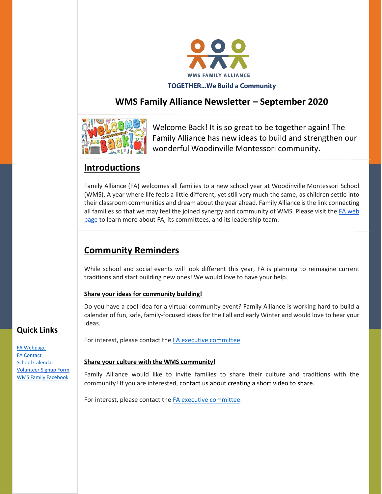

## **WMS Family Alliance Newsletter – September 2020**



Welcome Back! It is so great to be together again! The Family Alliance has new ideas to build and strengthen our wonderful Woodinville Montessori community.

## **Introductions**

Family Alliance (FA) welcomes all families to a new school year at Woodinville Montessori School (WMS). A year where life feels a little different, yet still very much the same, as children settle into their classroom communities and dream about the year ahead. Family Alliance is the link connecting all families so that we may feel the joined synergy and community of WMS. Please visit the [FA web](https://www.woodinvillemontessori.org/fa-committees/)  [page](https://www.woodinvillemontessori.org/fa-committees/) to learn more about FA, its committees, and its leadership team.

# **Community Reminders**

While school and social events will look different this year, FA is planning to reimagine current traditions and start building new ones! We would love to have your help.

### **Share your ideas for community building!**

Do you have a cool idea for a virtual community event? Family Alliance is working hard to build a calendar of fun, safe, family-focused ideas for the Fall and early Winter and would love to hear your ideas.

For interest, please contact the [FA executive committee.](mailto:fa@woodinvillemontessori.org?subject=Cultural%20Display)

### **Share your culture with the WMS community!**

Family Alliance would like to invite families to share their culture and traditions with the community! If you are interested, contact us about creating a short video to share.

For interest, please contact the [FA executive committee.](mailto:fa@woodinvillemontessori.org?subject=Cultural%20Display)

### **Quick Links**

[FA Webpage](https://www.woodinvillemontessori.org/wms-families/fa-committees/) [FA Contact](mailto:fa@woodinvillemontessori.org?subject=FAC%20Contact) [School Calendar](https://www.woodinvillemontessori.org/calendar/) [Volunteer Signup Form](https://forms.gle/FaUat2abBxh9difw7) [WMS Family Facebook](https://www.facebook.com/groups/130215807626550/)